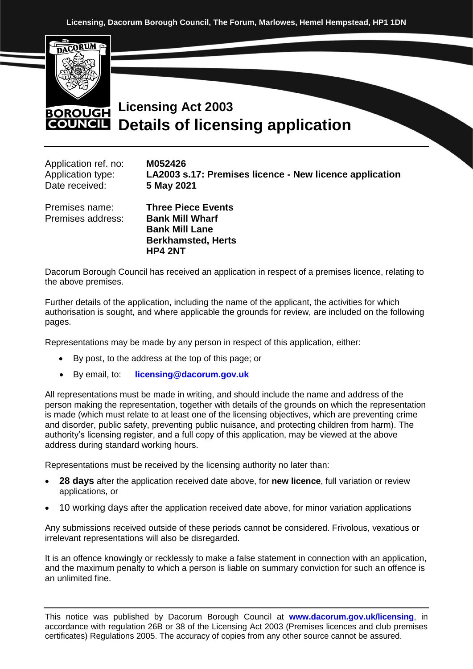

## **Licensing Act 2003 BOROUGH Details of licensing application COUNCIL**

| Application ref. no: | M052426      |
|----------------------|--------------|
| Application type:    | LA2003 s.17: |
| Date received:       | 5 May 2021   |
|                      |              |

**Premises licence - New licence application** 

Premises address: **Bank Mill Wharf**

Premises name: **Three Piece Events Bank Mill Lane Berkhamsted, Herts HP4 2NT**

Dacorum Borough Council has received an application in respect of a premises licence, relating to the above premises.

Further details of the application, including the name of the applicant, the activities for which authorisation is sought, and where applicable the grounds for review, are included on the following pages.

Representations may be made by any person in respect of this application, either:

- By post, to the address at the top of this page; or
- By email, to: **[licensing@dacorum.gov.uk](mailto:licensing@dacorum.gov.uk)**

All representations must be made in writing, and should include the name and address of the person making the representation, together with details of the grounds on which the representation is made (which must relate to at least one of the licensing objectives, which are preventing crime and disorder, public safety, preventing public nuisance, and protecting children from harm). The authority's licensing register, and a full copy of this application, may be viewed at the above address during standard working hours.

Representations must be received by the licensing authority no later than:

- **28 days** after the application received date above, for **new licence**, full variation or review applications, or
- 10 working days after the application received date above, for minor variation applications

Any submissions received outside of these periods cannot be considered. Frivolous, vexatious or irrelevant representations will also be disregarded.

It is an offence knowingly or recklessly to make a false statement in connection with an application, and the maximum penalty to which a person is liable on summary conviction for such an offence is an unlimited fine.

This notice was published by Dacorum Borough Council at **[www.dacorum.gov.uk/licensing](http://www.dacorum.gov.uk/licensingi)**, in accordance with regulation 26B or 38 of the Licensing Act 2003 (Premises licences and club premises certificates) Regulations 2005. The accuracy of copies from any other source cannot be assured.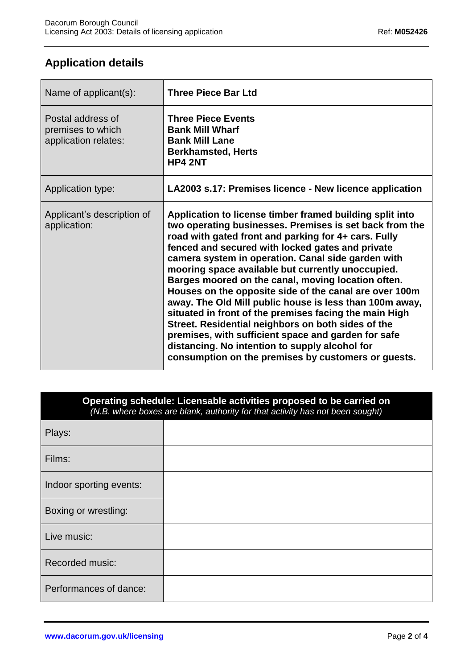## **Application details**

| Name of applicant(s):                                          | <b>Three Piece Bar Ltd</b>                                                                                                                                                                                                                                                                                                                                                                                                                                                                                                                                                                                                                                                                                                                                                                            |
|----------------------------------------------------------------|-------------------------------------------------------------------------------------------------------------------------------------------------------------------------------------------------------------------------------------------------------------------------------------------------------------------------------------------------------------------------------------------------------------------------------------------------------------------------------------------------------------------------------------------------------------------------------------------------------------------------------------------------------------------------------------------------------------------------------------------------------------------------------------------------------|
| Postal address of<br>premises to which<br>application relates: | <b>Three Piece Events</b><br><b>Bank Mill Wharf</b><br><b>Bank Mill Lane</b><br><b>Berkhamsted, Herts</b><br><b>HP4 2NT</b>                                                                                                                                                                                                                                                                                                                                                                                                                                                                                                                                                                                                                                                                           |
| Application type:                                              | LA2003 s.17: Premises licence - New licence application                                                                                                                                                                                                                                                                                                                                                                                                                                                                                                                                                                                                                                                                                                                                               |
| Applicant's description of<br>application:                     | Application to license timber framed building split into<br>two operating businesses. Premises is set back from the<br>road with gated front and parking for 4+ cars. Fully<br>fenced and secured with locked gates and private<br>camera system in operation. Canal side garden with<br>mooring space available but currently unoccupied.<br>Barges moored on the canal, moving location often.<br>Houses on the opposite side of the canal are over 100m<br>away. The Old Mill public house is less than 100m away,<br>situated in front of the premises facing the main High<br>Street. Residential neighbors on both sides of the<br>premises, with sufficient space and garden for safe<br>distancing. No intention to supply alcohol for<br>consumption on the premises by customers or guests. |

| Operating schedule: Licensable activities proposed to be carried on<br>(N.B. where boxes are blank, authority for that activity has not been sought) |  |  |
|------------------------------------------------------------------------------------------------------------------------------------------------------|--|--|
| Plays:                                                                                                                                               |  |  |
| Films:                                                                                                                                               |  |  |
| Indoor sporting events:                                                                                                                              |  |  |
| Boxing or wrestling:                                                                                                                                 |  |  |
| Live music:                                                                                                                                          |  |  |
| Recorded music:                                                                                                                                      |  |  |
| Performances of dance:                                                                                                                               |  |  |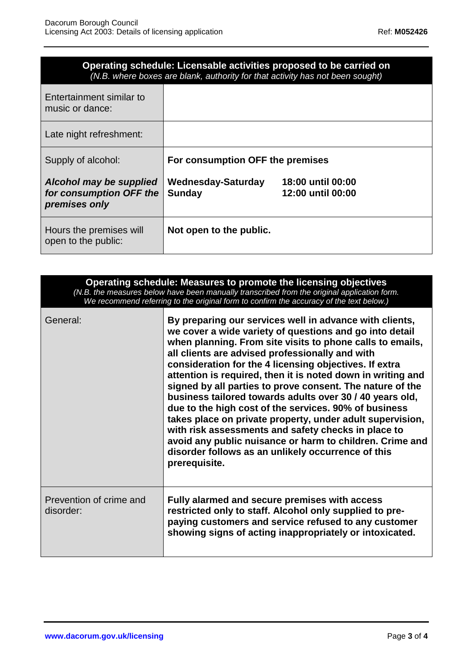| Operating schedule: Licensable activities proposed to be carried on<br>(N.B. where boxes are blank, authority for that activity has not been sought) |                                     |                                        |
|------------------------------------------------------------------------------------------------------------------------------------------------------|-------------------------------------|----------------------------------------|
| Entertainment similar to<br>music or dance:                                                                                                          |                                     |                                        |
| Late night refreshment:                                                                                                                              |                                     |                                        |
| Supply of alcohol:                                                                                                                                   | For consumption OFF the premises    |                                        |
| Alcohol may be supplied<br>for consumption OFF the<br>premises only                                                                                  | Wednesday-Saturday<br><b>Sunday</b> | 18:00 until 00:00<br>12:00 until 00:00 |
| Hours the premises will<br>open to the public:                                                                                                       | Not open to the public.             |                                        |

| Operating schedule: Measures to promote the licensing objectives<br>(N.B. the measures below have been manually transcribed from the original application form.<br>We recommend referring to the original form to confirm the accuracy of the text below.) |                                                                                                                                                                                                                                                                                                                                                                                                                                                                                                                                                                                                                                                                                                                                                                                                      |  |
|------------------------------------------------------------------------------------------------------------------------------------------------------------------------------------------------------------------------------------------------------------|------------------------------------------------------------------------------------------------------------------------------------------------------------------------------------------------------------------------------------------------------------------------------------------------------------------------------------------------------------------------------------------------------------------------------------------------------------------------------------------------------------------------------------------------------------------------------------------------------------------------------------------------------------------------------------------------------------------------------------------------------------------------------------------------------|--|
| General:                                                                                                                                                                                                                                                   | By preparing our services well in advance with clients,<br>we cover a wide variety of questions and go into detail<br>when planning. From site visits to phone calls to emails,<br>all clients are advised professionally and with<br>consideration for the 4 licensing objectives. If extra<br>attention is required, then it is noted down in writing and<br>signed by all parties to prove consent. The nature of the<br>business tailored towards adults over 30 / 40 years old,<br>due to the high cost of the services. 90% of business<br>takes place on private property, under adult supervision,<br>with risk assessments and safety checks in place to<br>avoid any public nuisance or harm to children. Crime and<br>disorder follows as an unlikely occurrence of this<br>prerequisite. |  |
| Prevention of crime and<br>disorder:                                                                                                                                                                                                                       | Fully alarmed and secure premises with access<br>restricted only to staff. Alcohol only supplied to pre-<br>paying customers and service refused to any customer<br>showing signs of acting inappropriately or intoxicated.                                                                                                                                                                                                                                                                                                                                                                                                                                                                                                                                                                          |  |